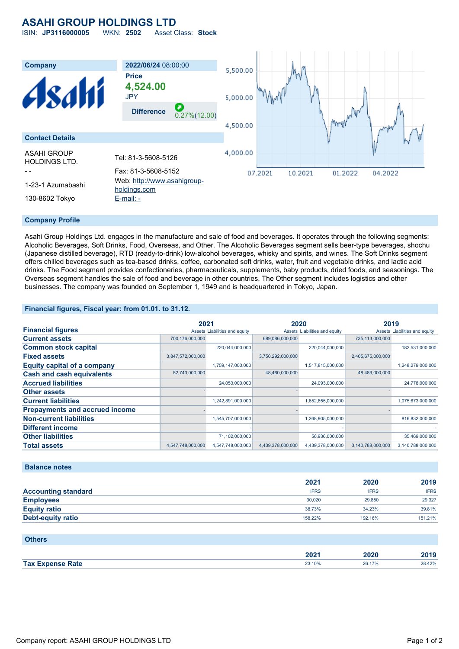## **ASAHI GROUP HOLDINGS LTD**

ISIN: **JP3116000005** WKN: **2502** Asset Class: **Stock**



#### **Company Profile**

Asahi Group Holdings Ltd. engages in the manufacture and sale of food and beverages. It operates through the following segments: Alcoholic Beverages, Soft Drinks, Food, Overseas, and Other. The Alcoholic Beverages segment sells beer-type beverages, shochu (Japanese distilled beverage), RTD (ready-to-drink) low-alcohol beverages, whisky and spirits, and wines. The Soft Drinks segment offers chilled beverages such as tea-based drinks, coffee, carbonated soft drinks, water, fruit and vegetable drinks, and lactic acid drinks. The Food segment provides confectioneries, pharmaceuticals, supplements, baby products, dried foods, and seasonings. The Overseas segment handles the sale of food and beverage in other countries. The Other segment includes logistics and other businesses. The company was founded on September 1, 1949 and is headquartered in Tokyo, Japan.

#### **Financial figures, Fiscal year: from 01.01. to 31.12.**

|                                       | 2021              |                               | 2020              |                               | 2019              |                               |
|---------------------------------------|-------------------|-------------------------------|-------------------|-------------------------------|-------------------|-------------------------------|
| <b>Financial figures</b>              |                   | Assets Liabilities and equity |                   | Assets Liabilities and equity |                   | Assets Liabilities and equity |
| <b>Current assets</b>                 | 700,176,000,000   |                               | 689,086,000,000   |                               | 735,113,000,000   |                               |
| <b>Common stock capital</b>           |                   | 220,044,000,000               |                   | 220,044,000,000               |                   | 182,531,000,000               |
| <b>Fixed assets</b>                   | 3,847,572,000,000 |                               | 3,750,292,000,000 |                               | 2,405,675,000,000 |                               |
| <b>Equity capital of a company</b>    |                   | 1,759,147,000,000             |                   | 1,517,815,000,000             |                   | 1,248,279,000,000             |
| <b>Cash and cash equivalents</b>      | 52,743,000,000    |                               | 48,460,000,000    |                               | 48,489,000,000    |                               |
| <b>Accrued liabilities</b>            |                   | 24,053,000,000                |                   | 24,093,000,000                |                   | 24,778,000,000                |
| <b>Other assets</b>                   |                   |                               |                   |                               |                   |                               |
| <b>Current liabilities</b>            |                   | 1,242,891,000,000             |                   | 1,652,655,000,000             |                   | 1,075,673,000,000             |
| <b>Prepayments and accrued income</b> |                   |                               |                   |                               |                   |                               |
| <b>Non-current liabilities</b>        |                   | 1,545,707,000,000             |                   | 1,268,905,000,000             |                   | 816,832,000,000               |
| <b>Different income</b>               |                   |                               |                   |                               |                   |                               |
| <b>Other liabilities</b>              |                   | 71,102,000,000                |                   | 56,936,000,000                |                   | 35,469,000,000                |
| <b>Total assets</b>                   | 4,547,748,000,000 | 4,547,748,000,000             | 4,439,378,000,000 | 4,439,378,000,000             | 3,140,788,000,000 | 3,140,788,000,000             |

#### **Balance notes**

|                            | 2021        | 2020        | 2019        |
|----------------------------|-------------|-------------|-------------|
| <b>Accounting standard</b> | <b>IFRS</b> | <b>IFRS</b> | <b>IFRS</b> |
| <b>Employees</b>           | 30.020      | 29,850      | 29,327      |
| <b>Equity ratio</b>        | 38.73%      | 34.23%      | 39.81%      |
| Debt-equity ratio          | 158.22%     | 192.16%     | 151.21%     |

#### **Others**

|            | nnn.<br>ZVZ I | 20     | 40 I J |
|------------|---------------|--------|--------|
| <b>Tax</b> | 23.10%        | 26.17% | 28.42% |
| Zate       |               |        |        |